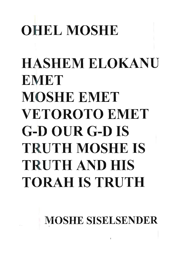# **OHEL MOSHE**

# HASHEM ELOKANU **EMET** MOSHE EMET VETOROTO EMET G-D OUR G-D **IS**  TRUTH MOSHE **IS**  TRUTH AND HIS TORAHISTRUTH

**MOSHE SISELSENDER**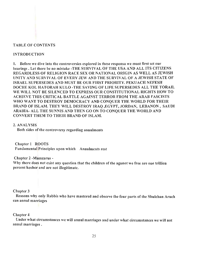# TABLE OF CONTENTS

# INTRODUCTION

1. Before we dive into the controversies explored in these responsa we must first set our bearings . Let there be no mistake -THE SURVIVAL OF THE USA AND ALL ITS CITIZENS REGARDLESS OF RELIGION RACE SEX OR NATIONAL ORIGIN AS WELL AS JEWISH UNITY AND SURVIVAL OF EVERY JEW AND THE SURVIVAL OF A JEWISH STATE OF ISRAEL SUPERSEDES AND MUST BE OUR FIRST PRIORITY. PEKUACH NEFESH DOCHE KOL HATORAH KULO -THE SAVING OF LIFE SUPERSEDES ALL THE TORAH. WE WILL NOT BE SILENCED TO EXPRESS OUR CONSTITUTIONAL RIGHTS HOW TO ACHIEVE THIS CRITICAL BATTLE AGAINST TERROR FROM THE ARAB FASCISTS WHO WANT TO DESTROY DEMOCRACY AND CONQUER THE WORLD FOR THEIR BRAND OF ISLAM. THEY WILL DESTROY IRAQ ,EGYPT, JORDAN, LEBANON, SAUDI ARABIA- ALL THE SUNNIS AND THEN GO ON TO CONQUER THE WORLD AND CONVERT THEM TO THEIR BRAND OF ISLAM.

## 2. ANALYSIS

Both sides of the controversy regarding annulments

Chapter I ROOTS Fundamental Principles upon which Annulments rest

Chapter 2 -Mamzarus -

Why there does not exist any question that the children of the agunot we free are one trillion percent kosher and are not illegitimate.

## Chapter 3

Reasons why only Rabbis who have mastered and observe the four parts of the Shulchan Aruch can annul marriages

## Chapter 4

Under what circumstances we will annul marriages and under what circumstances we will not annul marriages.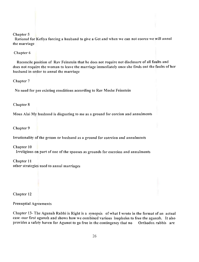#### Chapter 5

Rational for Kefiya forcing a husband to give a Get and when we can not coerce we will annul the marriage

Chapter 6

Reconcile position of Rav Feinstein that he does not require not disclosure of all faults and does not require the woman to leave the marriage immediately once she finds out the faults of her husband in order to annul the marriage

Chapter 7

No need for pre existing conditions according to Rav Moshe Feinstein

Chapter 8

Mous Alai My husband is disgusting to me as a ground for corcion and annulments

Chapter 9

Irrationality of the groom or husband as a ground for coercion and annulments

Chapter 10 Irreligious on part of one of the spouses as grounds for coercion and annulments

Chapter II other strategies used to annul marriages

Chapter 12

Prenuptial Agreements

Chapter 13- The Agunah Rabbi is Right is a synopsis of what I wrote in the format of an actual case -our first agunah and shows how we combined various loopholes to free the agunah. It also provides a safety haven for Agunot to go free in the contingency that no Orthodox rabbis are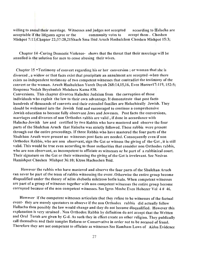willing to annul their marriage. Witnesses and judges not accepted according to Halacha are acceptable if the litigants agree or the community votes to accept them. Choshen Mishpot 7:11;Chapter 22;37:20,2IShach Sma Ibid Aruch Hashulchon Choshen Mishpot 15:3;

Chapter 14 -Curing Domestic Violence- shows that the threat that their marriage will be annulled is the solution for men to cease abusing their wives.

Chapter 15 -Testimony of convert regarding his or her conversion; or woman that she is divorced, a widow or that facts exist that precipitate an annulment are accepted -when there exists no independent testimony of two competent witnesses that contradict the testimony of the convert or the woman. Aruch Hashulchon Yoreh Dayoh 268:14,15,16, Even Hoezerl7:119, 152:5; Responsa Nodah Beyehudah Mahdura Kama #38.

Conversions. This chapter divorces Halachic Judaism from the corruption of those individuals who exploit the law to their own advantage. It demonstrate that post facto hundreds of thousands of converts and their extended families are Halachically Jewish. They should be welcomed into the Jewish fold and encouraged to continue a comprehensive Jewish education to become fully observant Jews and Jewesses. Post facto the conversions, marriages and divorces of non Orthodox rabbis are valid, if done in accordance with Halacha-Jewish law and certified by two Rabbis who have mastered and observe the four parts of the Shulchan Aruch that Halacha was strictly followed. These rabbis were present through out the entire proceedings. If three Rabbis who have mastered the four parts of the Shulchan Aruch were present no witnesses post facto are needed. Consequently even if non Orthodox Rabbis, who are non observant, sign the Get or witness the giving of the Get, it is still valid. This would be true even according to those authorities that consider non Orthodox rabbis, who are non observant, as incompetent to officiate as witnesses or be part of a rabbinical court. Their signature on the Get or their witnessing the giving of the Get is irrelevant. See Nesivas Hamishpot Choshen Mishpot 36:10; Ktzos Hachoshen Ibid.

However the rabbis who have mastered and observe the four parts of the Shulchan Aruch can never be part of the team of rabbis witnessing the event .Othenvise the entire group become disqualified under the theory of adim shebotlu miktzoso botlu kulo. When competent witnesses are part of a group of witnesses together with non competent witnesses the entire group become corrupted because of the non competent witnesses. See Igros Moshe Even Hohezer Vol 4 # 46.

However if the competent witnesses articulate that they refuse to be witnesses of the factual event- they are merely spectators to observe if the non Orthodox rabbis did actually follow Hallacha then possibly the law would change and they do not become disqualified. However this explanation is very strained. Non Orthodox Rabbis by definition do not accept that the Written and Oral Torah are given by G-d. As such they in effect create an other religion. They publically call themselves and their temples Reform or Conservative in order not to be accused of fraud. Therefore they are not competent to officiate as witnesses See Rambam Laws of Aidos Evidence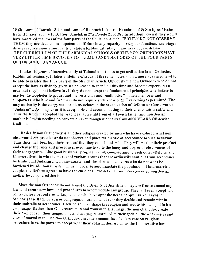10 ;3; Laws of Tsuvah 3:9; and Laws of Rotzeach Ushmirot Hanefesh 4:10; See Igros Moshe Even Hohezer vol 4 # 13:3,4 See Sanehdrin 27a ;Avodo Zoro 28b.In addition, even if they would have mastered the laws of the four parts of the Shulchan Aruch IF THEY DO NOT OBSERVE THEM they are deemed incompetent to officiate in any capacity in religious functions -marriages divorces conversions annulments or state a Rabbinical ruling in any area of Jewish Law. THE CURRICULUM OF THE RABBINICAL SCHOOLS OF THE NON ORTHODOX HAVE VERY LITTLE TIME DEVOTED TO TALMUD AND THE CODES OF THE FOUR PARTS OF THE SHULCHAN ARUCH.

It takes 10 years of intensive study of Talmud and Codes to get ordination in an Orthodox Rabbinical seminary. It takes a lifetime of study of the same material on a more advanced level to be able to master the fuur parts of the Shulchan Aruch. Obviously the non Orthodox who do not accept the laws as divinely given see no reason to spend all this time and become experts in an area that they do not believe in . If they do not accept the fundamental principles why bother to master the loopholes to get around the restrictios and roadblocks? Their members and supporters who hire and fire them do not require such knowledge. Everything is permitted. The only authority is the clergy man or his associates in the organization of Reform or Conservative "Judaism" .. As long as as it is acceptable and accommodating to their clients this is sufficient. Thus the Reform accepted the practice that a child from of a Jewish father and non Jewish mother is Jewish needing no conversion even though it departs from 4000 YEARS OF Jewish tradition.

Basically non Orthodoxy is an other religion created by men who have explored what non observant Jews practice or do not observe and place the mantle of acceptance to such behavior. Thus their members buy their product that they call "Judaism". They will market their product and change the rules and procedures over time to suite the fancy and degree of observance of their congregants. Like good business people they will compete among each other -Reform and Conservatives -to win the market of various groups that are ordinarily shut out from acceptance by traditional Judaism like homosexuals and lesbians and converts who do not want be burdened by additional rules. Thus in order to accommodate the population of intermarried couples the Reform agreed to have the child of a Jewish father and non converted non Jewish mother be considered Jewish.

Since the non Orthodox do not accept the Divinity of Jewish law they are free to amend any law and create new laws and procedures to accommodate any group. They will even accept two contradictory procedures to keep clients who have opposite needs happy. Ish kol hayosher beainov yaase Each person or congregation can do what ever they decide and remain within their umbrella of acceptance. Each person can shape the religion and create his own god in his own image. Rather than G-d creates man and woman in His Image, the non Orthodox create their own gods in their image. The ancient pagans ascribed to their gods all the weaknesses and vices of mortal man. The Non Orthodox once their committee of elders vote on religious procedure have the power to accept what their votaries desire. Thus the Conservative law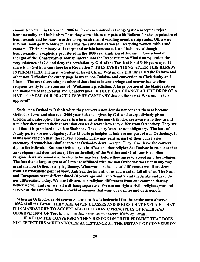committee voted in December 2006 to have each individual congregation accept or reject homosexuality and lesbianism Thus they were able to compete with Reform for the population of homosexuals and lesbians in order to replenish their dwindling membership ranks. Otherwise they will soon go into oblivion. This was the same motivation for accepting women rabbis and cantors. Their seminary will accept and ordain homosexuals and lesbians, although homosexuality is explicitly prohibited in the 4000 year tradition of Judaism. One school of thought of the Conservatives now splintered into the Reconstruction "Judaism "question the very existence of G-d and deny the revelation by G-d of the Torah at Sinai 3400 years ago. -If there is no G~d how can there be a Revelation? THUS EVERYTHING AFTER THIS HERESY IS PERMITTED. The first president of Israel Chiam Weitzman rightfully called the Reform and other non Orthodox the empty page between non Judaism and conversion to Christianity and Islam. The ever decreasing number of Jews lost to intermarriage and conversion to other religions testify to the accuracy of Weitzman's prediction. A large portion of the blame rests on the shoulders of the Reform and Conservatives. IF THEY CAN CHANGE AT THE DROP OF A HAT 4000 YEAR OLD PRACTICES WHY CAN'T ANY Jew do the same? Who needs their approval?

Such non Orthodox Rabbis when they convert a non Jew do not convert them to become Orthodox Jews and observe 3400 year halacha -given by G-d and accept divinely given theological philosophy. The converts who come to the non Orthodox are aware who they are. If not, after they attend their conversion classes discover how they differ from Orthodoxy. They are told that it is permitted to violate Shabbot. The dietary laws are not obligatory. The laws of family purity are not obligatory. The 13 basic principles of fath are not part of non Orthodoxy. It is this new religion that the convert accepts. There may exist as part of their conversion ceremony circumcision -similar to what Orthodox Jews accept. They also have the convert dip in the Mikvah. But non Orthodoxy is in effect an other religion See Radvaz in responsa that any religion that does not accept the authenticity of the Written and Oral Law is an other religion. Jews are mandated to elect to be martyrs before they agree to accept an other religion. The fact that a large segment of Jews are affiliated with the non Orthodox does not in any way grant the non Orthodox any legitimacy. Whatever our theological differences we all are Jews from a nationalistic point of view. Anti Semites hate all of us and want to kill all of us. The Nazis and Europeans never differentiated 60 years ago and anti Semites and the Arabs and Iran do not differentiate today. We must divorce our religious differences from our common destiny. Either we will unite or we all will hang separately. We can not fight a civil religious war and survive at the same time from a world of enemies that want our demise and destruction.

When an Orthodox rabbi converts the non Jew is instructed that he or she must observe 100% of all the Torah. THEY ARE GIVEN CLASSES AND BOOKS THAT EXPLAIN THAT IT IS MANDATORY TO ACCEPT ALL THE 13 BASIC PRINCIPLES OF FAITH AND OBSERVE 100% OF Torah. The non Jew promises to observe 100% of Torah.

IF AFTER THE CONVERSION THEY RENEGE ON THEIR PROMISE THAT DOES NOT EFFECT HIS or HER SINCERE ACCEPTANCE AT THE INSTANT OF CONVERSION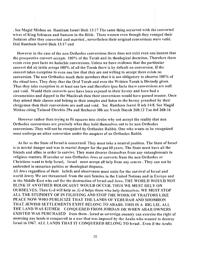· See Magid Mishne on Rambam Issuri Bioh 13:17 The same thing occurred with the converted wives of King Solomon and Samson in the Bible. These women even though they reneged their Judaism after they converted and married, nevertheless their original conversions were valid. Ibid Rambam Isurei Bioh 13:17 end

However in the case of the non Orthodox conversions there does not exist even one instant that the prospective convert accepts 100% of the Torah and its theological doctrines. Therefore there exists even post facto no halachic conversions. Unless we have evidence that the particular convert did ab initio accept 100% of all the Torah there is by default no conversion. If the convert takes exception to even one law that they are not willing to accept there exists no conversion. The non Orthodox teach their members that it is not obligatory to observe 100% of the ritual laws. They deny that the Oral Torah and even the Written Torah is Divinely given. Thus they take exception to at least one law and therefore ipso facto there conversions are null and void. Would their converts nevr have been exposed to their heresy and have had a circumcision and dipped in the Mmikvah then their conversions would have passed muster. Once they attend their classes and belong to their temples and listen to the heresy preached by their clergymen then their conversions are null and void. See Rambam Isurei B ioh 14:8. See Magid Mishne citing Talmud Ehrchin 29a and Bechorot 30b see Yoreh Dayoh 268:12 Taz ibd 268:16

However rather than trying to fit squares into circles why not accept the reality that non Orthodox conversions are precisely what they hold themselves out to be non Orthodox conversions. They will not be recognized by Orthodox Rabbis. One who wants to be recognized must undergo an other conversion under the auspices of an Orthodox Rabbi.

As far as the State of Israel is concerned. They must take a neutral position. The State of Israel is in mortal danger and was in mortal danger for the pat 60 years. The State must have all the friends and allies in order to survive. They must divorce themselves from any entanglements in religious matters. If secular or non Orthodox Jews or converts from the non Orthodox or Christians want to help Israel, Israel must accept all help from any source. They can not be embroiled in sectarian politics or theological disputes.

All Jews regardless of their beliefs and observance must unite for the survival of Israel and world Jewry We are threatened from the anti Semites in the United Nations and in Europe and in the Middle East who call for the destruction of Israel and Jews. THE WORLD WOULD NOT BLINK IF AN OTHER HOLOCAUST WOULD OCCUR. THUS WE MUST RELY ON OURSELVES. Then G-d will help us .G-d helps those who help themselves. WE MUST STOP ALL THE STUPIDITY OF IN FIGHTING AND STOP THE WORK OF TRAITORS LIKE PEACE NOW WHO PUBLICIZE THAT THE LANDS OF YEHUDAH AND SHOMRON THAT JEWISH SETTLEMENTS EXIST BELONG TO ARABS. THIS IS A BIG LIE. ALL THE LAND WAS EITHER CONQUERED FROM JORDAN OR WHEN ARAB OWNERS EXISTED WAS PURCHASED from them. Israel as sovereign country can exercise the right of annexing any lands it conquered in a war that was imposed by the Arabs who wanted to destroy Israel in 1967. ALL LANDS THAT IT CONQUERED BELONG TO Israel. Even if the Arabs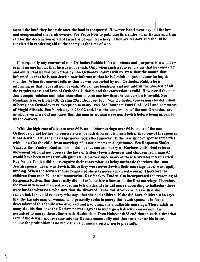owned the land they lose title once the land is conquered. However Israel went beyond the law and compensated the Arab owners. For Peace Now to publicize its slander when Hamas and Iran call for the destruction of all of Israel is beyond treachery. They are traitors and should be convicted in rendering aid to the enemy at the time of war.

Consequently any convert of non Orthodox Rabbis is for all intents and purposes is a non Jew even if no one knows that he was not Jewish. Only when such a convert claims that he converted and omits that he was converted by non Orthodox Rabbis will we state that the mouth that informed us that he is non Jewish now informs us that he is Jewish-.hapeh sheosor hu hapeh shehiter- When the convert tells us that he was converted by non Orthodox Rabbis he is informing us that he is still non Jewish. We can use loopholes and not inform the non,Jew of all the requirements and laws of Orthodox Judaism and the conversion is valid. However if the non Jew accepts Judaism and takes exception to even one law then the conversion is invalid. See Rambam Issurei Bioh 14:8; Erchin 29a ; Bechorot 30b . Non Orthodox conversions by definition of being non Orthodox take exception to many laws. See Rambam Isuri Biof 13:17 and comments of Magid Misnah. See Yoreh dayoh 268:12 end. Thus the conversions of the non Orthodox are invalid, even if we did not know that the man or woman were non Jewish before being informed by the convert.

With the high rate of divorce over 50% and intermarriage over 50% most of the non Orthodox do not bother to receive a Get-Jewish divorce it is much better that one of the spouses is not Jewish. Thus the marriage never took effect anyway. If the Jewish born spouse remarries with out a Get the child from marriage #2 is not a mamzer -illegitimate. See Responsa Shalet Yaavetz Rav Yaakov Emden who claims that one can marry a Kariates a hisorical reform movement who did not observe the laws of Gitten -Jewish divorces and children from man #2 would have been mamzarim -illegitimate. However since many of these Karriates intermarried Rav Yakov Emden did not recognize their conversions as being authentic therefore the non Jewish spouse never was Jewish. Since they were never Jewish their marriage never was legally binding. When the Jewish spouse remarried she was never a married woman. Therefore the children from man #2 are not mamzarim . Rav Yaakov Emden also incorporated the reasoning of Responsa Radvaz that there really did not exist kosher witnesses in the first marriage. Therefore the woman was not married according to hallacha. If she did marry according to hallacha -there were kosher witnesses- who says that she divorced. If she did divorce who says that she remarried. If she did remarry who says that she had children. If she did have children 'who says that the kariate man or woman who presently seeks to marry the Jewsh spouse is in fact a descendant of this family who divorced and had originally a hallachic marriage. There exists so many doubts that once the Kariate partner agrees to undergo a hallachic conversion it is permitted to marry them. See Aruch Hashulchon Even Hohezer 6:38 end that in such a situation even if the Jewish spouse came into the Kariate community and there met her or his future spouse the prohibition is no more than a chumra a restriction to play safe.

 $\setminus$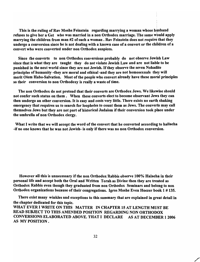This is the ruling of Rav Moshe Feinstein regarding marrying a woman whose husband refuses to give her a Get who was married in a non Orthodox marriage. The same would apply marrying the children from man  $#2$  of such a woman. Rav Feinstein does not require that they undergo a conversion since be is not dealing with a known case of a convert or the children of a convert who were converted under non Orthodox auspices.

Since the converts to non Orthodox conversions probably do not observe Jewish Law since that is what they are taught they do not violate Jewish Law and are not liable to be punished in the next world since they are not Jewish. If they observe the seven Nohadite principles of humanity -they are moral and ethical -and they are not homosexuals they will merit Olem Habo-Salvation. Most of the people who convert already have these moral principles so their conversion to non Orthodoxy is really a waste of time.

The non Orthodox do not pretend that their converts are Orthodox Jews. We likewise should not confer such status on them. When these converts elect to become observant Jews they can then undergo an other conversion. It is easy and costs very little. There exists no earth shaking emergency that requires us to search for loopholes to count them as Jews. The converts may call themselves Jews but they are not part of historical Judaism if their conversion took place under the umbrella of non Orthodox clergy.

What I write that we will accept the word of the convert that he converted according to hallacha -if no one knows that he was not Jewish- is only if there was no non Orthodox conversion.

However all this is unnecessary if the non Orthodox Rabbis observe 100% Halacha in their personal life and accept both the Oral and Written Torah as Divine then they are treated as Orthodox Rabbis even though they graduated from non Orthodox Seminars and belong to non Orthodox organizations because of their congregations. Igros Moshe Even Hoezer book 1 # 135.

There exist many winkles and exceptions to this summary that are explained in great detail in the chapter dedicated for this topic. WHAT EVER I WRITE ON THIS MATTER IN CHAPTER 15 AT LENGTH MUST BE READ SUBJECT TO THIS AMENDED POSITION REGARDING NON ORTHODOX CONVERSIONS ELABORATED ABOVE. THAT I DECLARE AS AT DECEMBER 12006 AS MY POSITION.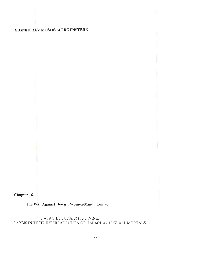# **SIGNED RAV MOSHE MORGENSTERN**

**Chapter 16-**

**The War Against Jewish Women-Mind Control** 

HALACHIC JUDAISM IS DIVINE; RABBIS IN THEIR INTERPRETATION OF HALACHA- LIKE ALL MORTALS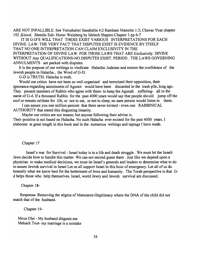ARE NOT INFALLIBLE. See Yerushalmi Sanehdrin 4:2 Rambam Mamrim 1:3; Chavas Yoar chapter 192 ;Kisvei Shredie Esh- Horav Weinberg by Melech Shapiro.Chapter 3 pp 6-7

IT IS G-D'S WILL THAT THERE EXIST VARIOUS INTERPRETATIONS FOR EACH DIVINE LA W. THE VERY FACT THAT DISPUTES EXIST IS EVIDENCE BY ITSELF THAT NO ONE INTERPRETATION CAN CLAIM EXCLUSIVITY IN THE INTERPRETATION OF DIVINE LAW. FOR THOSE LAWS THAT ARE Exclusively DIVINE WITHOUT Any QUALIFICATIONS-NO DISPUTES EXIST. PERIOD. THE LAWS GOVERNING ANNULMENTS are packed with disputes.

It is the purpose of our writings to vindicate Halachic Judaism and restore the confidence of the Jewish people in Halacha, the Word of G-D.

G-D is TRUTH. Halacha is truth.

Would our critics have not been so well organized and terrorized their opposition, their ignorance-regarding annulments of Agunot would have been discarded in the trash pile, long ago. They present numbers of Rabbis who agree with them- to keep the Agunah suffering- all in the name of G-d. If a thousand Rabbis for the past 4000 years would say that people should jump off the roof or remain celibate for life, or not to eat, or not to sleep, no sane person would listen to them.

I can assure you one million percent that there never existed - even one RABBINICAL AUTHORITY that stated this disgusting insanity.

Maybe our critics are not insane; but anyone following their advise is.

Their position is not based on Halacha. No such Halacha ever existed for the past 4000 years. I elaborate at great length in this book and in the numerous writings and tapings I have made.

#### Chapter 17

Israel's war for Survival- Israel today is in a life and death struggle. We must let the Israeli Jews decide how to handle this matter. We can not second guess them. Just like we depend upon a physician to make medical decisions, we must let Israel's generals and leaders to determine what to do to assure Jewish survival in Israel Let us all support Israel in this hour of emergency. Let all of us do honestly what we know best for the betterment of Jews and humanity. The Torah perspective is that Gd helps those who help themselves. Israel, world Jewry and Jewish survival are discussed.

#### Chapter 18-

Responsa- Removing the stigma of Mamzarut-illegitimacy where the DNA of the child did not match that of the husband.

Chapter 19-

Mous Olai - My husband disgusts me Mekach Tout-my marriage is a mistake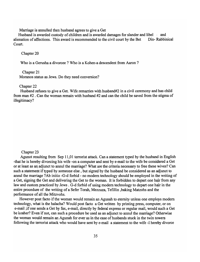Marriage is annulled then husband agrees to give a Get

Husband is awarded custody of children and is awarded damages for slander and libel  $\Box$  and alienation of affections. This award is recommended to the civil court by the Bet Din-Rabbinical Court.

Chapter 20

Who is a Gerusha a divorcee? Who is a Kohen-a descendent from Aaron?

#### Chapter 21

Moranos status as Jews. Do they need conversion?

#### Chapter 22

Husband refuses to give a Get. Wife remarries with husband#2 in a civil ceremony and has child from man #2 . Can the woman remain with husband #2 and can the child be saved from the stigma of illegitimacy?

#### Chapter 23

Agunot resulting from Sep 11,01 terrorist attack. Can a statement typed by the husband in English -that he is hereby divorcing his wife -on a computer and sent bye-mail to the wife be considered a Get or at least as ani adjunct to annul the marriage? What are the criteria necessary to free these wives? Can such a statement if typed by someone else, but signed by the husband be considered as an adjunct to annul the marriage? Ab initio -G-d forbid - no modem technology should be employed in the writing of a Get, signing the Get and delivering the Get to the woman. It is forbidden to depart one hair from any law and custom practiced by Jews. G-d forbid of using modern technology to depart one hair in the entire procedure of the writing of a Sefer Torah, Mezzuza, Tefillin ,baking Matzohs and the performance of all the Mitzvohs.

However post facto if the woman would remain an Agunah to eternity unless one employs modem technology, what is the halacha? Would post facto a Get written by printing press, computer, or on e-mail ;if one sends a Get by fax, e-mail, directly by federal express or regular mail, would such a Get be kosher? Even if not, can such a procedure be used as an adjunct to annul the marriage? Otherwise the woman would remain an Agunah for ever as in the case of husbands stuck in the twin towers following the terrorist attack who would have sent by e-mail a statement to the wife -I hereby divorce